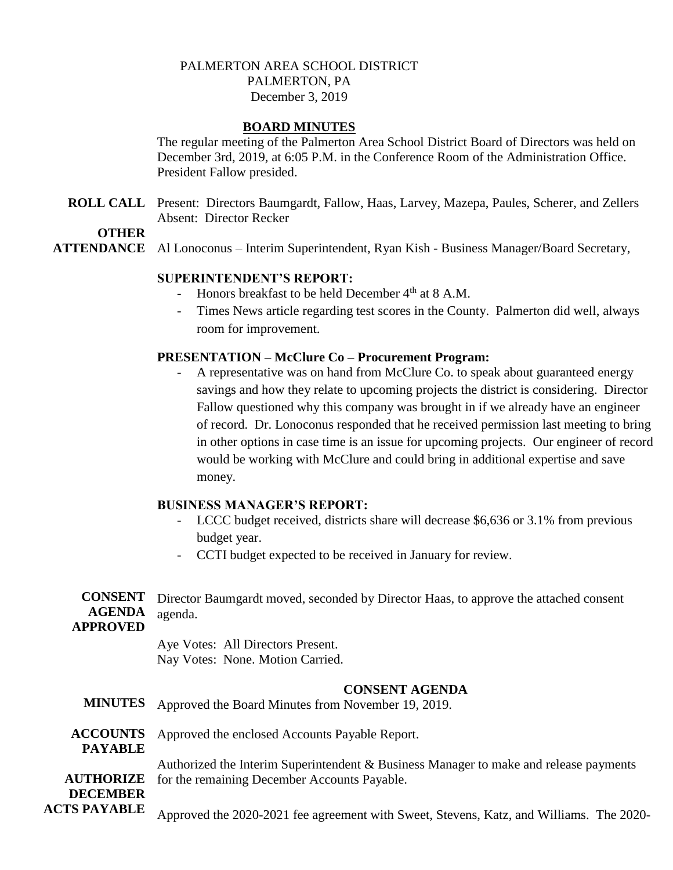# PALMERTON AREA SCHOOL DISTRICT PALMERTON, PA December 3, 2019

# **BOARD MINUTES**

The regular meeting of the Palmerton Area School District Board of Directors was held on December 3rd, 2019, at 6:05 P.M. in the Conference Room of the Administration Office. President Fallow presided.

**ROLL CALL** Present: Directors Baumgardt, Fallow, Haas, Larvey, Mazepa, Paules, Scherer, and Zellers Absent: Director Recker

**OTHER**

**ATTENDANCE** Al Lonoconus – Interim Superintendent, Ryan Kish - Business Manager/Board Secretary,

## **SUPERINTENDENT'S REPORT:**

- Honors breakfast to be held December  $4<sup>th</sup>$  at 8 A.M.
- Times News article regarding test scores in the County. Palmerton did well, always room for improvement.

# **PRESENTATION – McClure Co – Procurement Program:**

A representative was on hand from McClure Co. to speak about guaranteed energy savings and how they relate to upcoming projects the district is considering. Director Fallow questioned why this company was brought in if we already have an engineer of record. Dr. Lonoconus responded that he received permission last meeting to bring in other options in case time is an issue for upcoming projects. Our engineer of record would be working with McClure and could bring in additional expertise and save money.

## **BUSINESS MANAGER'S REPORT:**

- LCCC budget received, districts share will decrease \$6,636 or 3.1% from previous budget year.
- CCTI budget expected to be received in January for review.

### **CONSENT**  Director Baumgardt moved, seconded by Director Haas, to approve the attached consent **AGENDA**  agenda. **APPROVED**

Aye Votes: All Directors Present.

Nay Votes: None. Motion Carried.

# **CONSENT AGENDA**

- **MINUTES** Approved the Board Minutes from November 19, 2019.
- **ACCOUNTS**  Approved the enclosed Accounts Payable Report.
- **PAYABLE**

**AUTHORIZE**  for the remaining December Accounts Payable. Authorized the Interim Superintendent & Business Manager to make and release payments

### **DECEMBER ACTS PAYABLE**

Approved the 2020-2021 fee agreement with Sweet, Stevens, Katz, and Williams. The 2020-